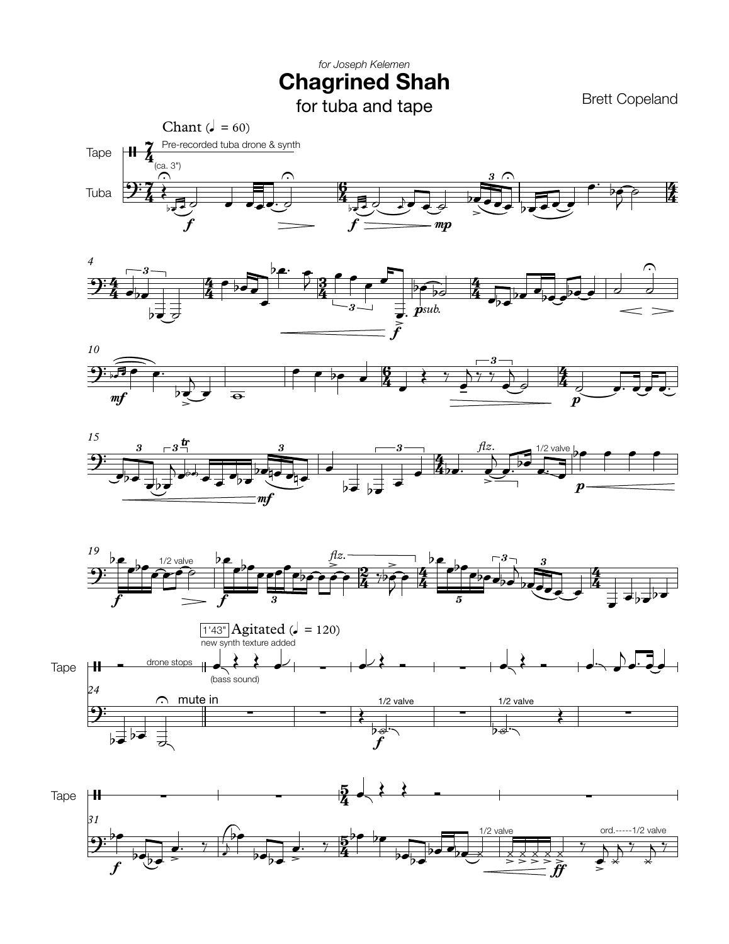## *for Joseph Kelemen* **Chagrined Shah**

Brett Copeland